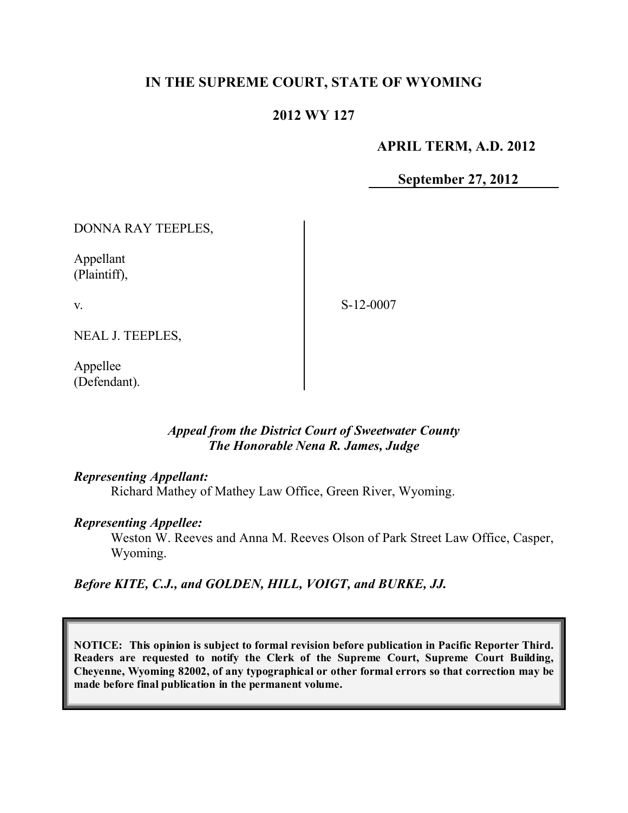# **IN THE SUPREME COURT, STATE OF WYOMING**

# **2012 WY 127**

### **APRIL TERM, A.D. 2012**

**September 27, 2012**

DONNA RAY TEEPLES,

Appellant (Plaintiff),

v.

S-12-0007

NEAL J. TEEPLES,

Appellee (Defendant).

### *Appeal from the District Court of Sweetwater County The Honorable Nena R. James, Judge*

#### *Representing Appellant:*

Richard Mathey of Mathey Law Office, Green River, Wyoming.

#### *Representing Appellee:*

Weston W. Reeves and Anna M. Reeves Olson of Park Street Law Office, Casper, Wyoming.

*Before KITE, C.J., and GOLDEN, HILL, VOIGT, and BURKE, JJ.*

**NOTICE: This opinion is subject to formal revision before publication in Pacific Reporter Third. Readers are requested to notify the Clerk of the Supreme Court, Supreme Court Building, Cheyenne, Wyoming 82002, of any typographical or other formal errors so that correction may be made before final publication in the permanent volume.**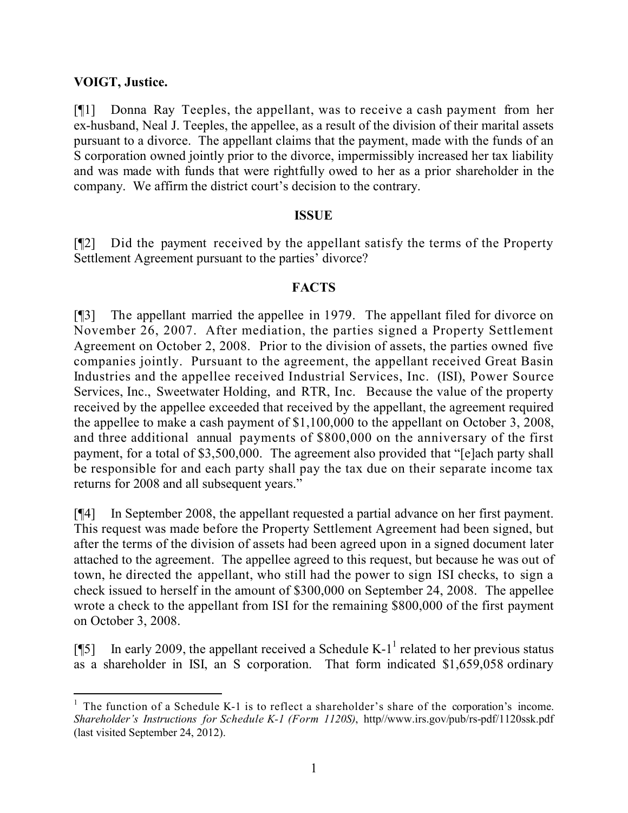## **VOIGT, Justice.**

[¶1] Donna Ray Teeples, the appellant, was to receive a cash payment from her ex-husband, Neal J. Teeples, the appellee, as a result of the division of their marital assets pursuant to a divorce. The appellant claims that the payment, made with the funds of an S corporation owned jointly prior to the divorce, impermissibly increased her tax liability and was made with funds that were rightfully owed to her as a prior shareholder in the company. We affirm the district court's decision to the contrary.

#### **ISSUE**

[¶2] Did the payment received by the appellant satisfy the terms of the Property Settlement Agreement pursuant to the parties' divorce?

### **FACTS**

[¶3] The appellant married the appellee in 1979. The appellant filed for divorce on November 26, 2007. After mediation, the parties signed a Property Settlement Agreement on October 2, 2008. Prior to the division of assets, the parties owned five companies jointly. Pursuant to the agreement, the appellant received Great Basin Industries and the appellee received Industrial Services, Inc. (ISI), Power Source Services, Inc., Sweetwater Holding, and RTR, Inc. Because the value of the property received by the appellee exceeded that received by the appellant, the agreement required the appellee to make a cash payment of \$1,100,000 to the appellant on October 3, 2008, and three additional annual payments of \$800,000 on the anniversary of the first payment, for a total of \$3,500,000. The agreement also provided that "[e]ach party shall be responsible for and each party shall pay the tax due on their separate income tax returns for 2008 and all subsequent years."

[¶4] In September 2008, the appellant requested a partial advance on her first payment. This request was made before the Property Settlement Agreement had been signed, but after the terms of the division of assets had been agreed upon in a signed document later attached to the agreement. The appellee agreed to this request, but because he was out of town, he directed the appellant, who still had the power to sign ISI checks, to sign a check issued to herself in the amount of \$300,000 on September 24, 2008. The appellee wrote a check to the appellant from ISI for the remaining \$800,000 of the first payment on October 3, 2008.

[ $\llbracket 5 \rrbracket$  In early 2009, the appellant received a Schedule K-1<sup>1</sup> related to her previous status as a shareholder in ISI, an S corporation. That form indicated \$1,659,058 ordinary

l  $<sup>1</sup>$  The function of a Schedule K-1 is to reflect a shareholder's share of the corporation's income.</sup> *Shareholder's Instructions for Schedule K-1 (Form 1120S)*, http//www.irs.gov/pub/rs-pdf/1120ssk.pdf (last visited September 24, 2012).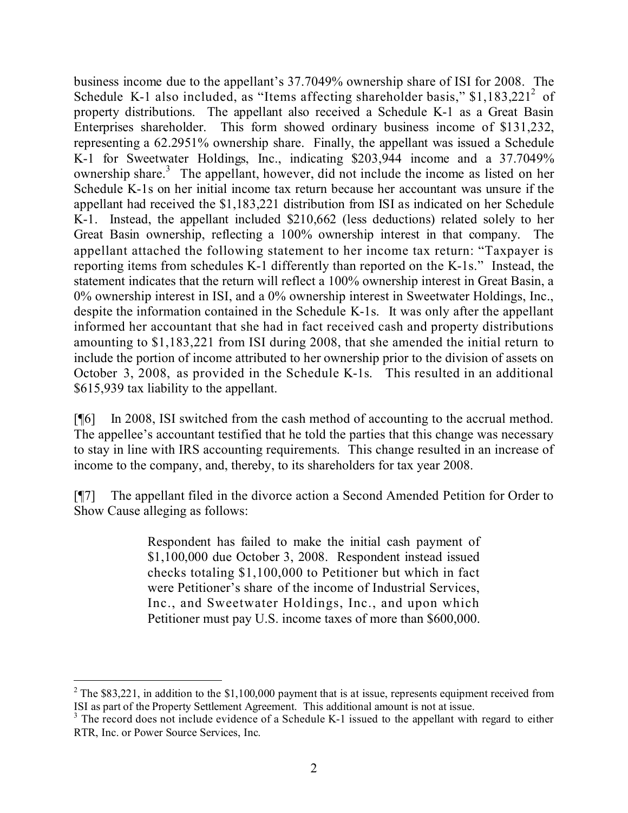business income due to the appellant's 37.7049% ownership share of ISI for 2008. The Schedule K-1 also included, as "Items affecting shareholder basis,"  $$1,183,221^2$  of property distributions. The appellant also received a Schedule K-1 as a Great Basin Enterprises shareholder. This form showed ordinary business income of \$131,232, representing a 62.2951% ownership share. Finally, the appellant was issued a Schedule K-1 for Sweetwater Holdings, Inc., indicating \$203,944 income and a 37.7049% ownership share.<sup>3</sup> The appellant, however, did not include the income as listed on her Schedule K-1s on her initial income tax return because her accountant was unsure if the appellant had received the \$1,183,221 distribution from ISI as indicated on her Schedule K-1. Instead, the appellant included \$210,662 (less deductions) related solely to her Great Basin ownership, reflecting a 100% ownership interest in that company. The appellant attached the following statement to her income tax return: "Taxpayer is reporting items from schedules K-1 differently than reported on the K-1s." Instead, the statement indicates that the return will reflect a 100% ownership interest in Great Basin, a 0% ownership interest in ISI, and a 0% ownership interest in Sweetwater Holdings, Inc., despite the information contained in the Schedule K-1s. It was only after the appellant informed her accountant that she had in fact received cash and property distributions amounting to \$1,183,221 from ISI during 2008, that she amended the initial return to include the portion of income attributed to her ownership prior to the division of assets on October 3, 2008, as provided in the Schedule K-1s. This resulted in an additional \$615,939 tax liability to the appellant.

[¶6] In 2008, ISI switched from the cash method of accounting to the accrual method. The appellee's accountant testified that he told the parties that this change was necessary to stay in line with IRS accounting requirements. This change resulted in an increase of income to the company, and, thereby, to its shareholders for tax year 2008.

[¶7] The appellant filed in the divorce action a Second Amended Petition for Order to Show Cause alleging as follows:

> Respondent has failed to make the initial cash payment of \$1,100,000 due October 3, 2008. Respondent instead issued checks totaling \$1,100,000 to Petitioner but which in fact were Petitioner's share of the income of Industrial Services, Inc., and Sweetwater Holdings, Inc., and upon which Petitioner must pay U.S. income taxes of more than \$600,000.

 $\overline{a}$ 

<sup>&</sup>lt;sup>2</sup> The \$83,221, in addition to the \$1,100,000 payment that is at issue, represents equipment received from ISI as part of the Property Settlement Agreement. This additional amount is not at issue.

<sup>&</sup>lt;sup>3</sup> The record does not include evidence of a Schedule K-1 issued to the appellant with regard to either RTR, Inc. or Power Source Services, Inc.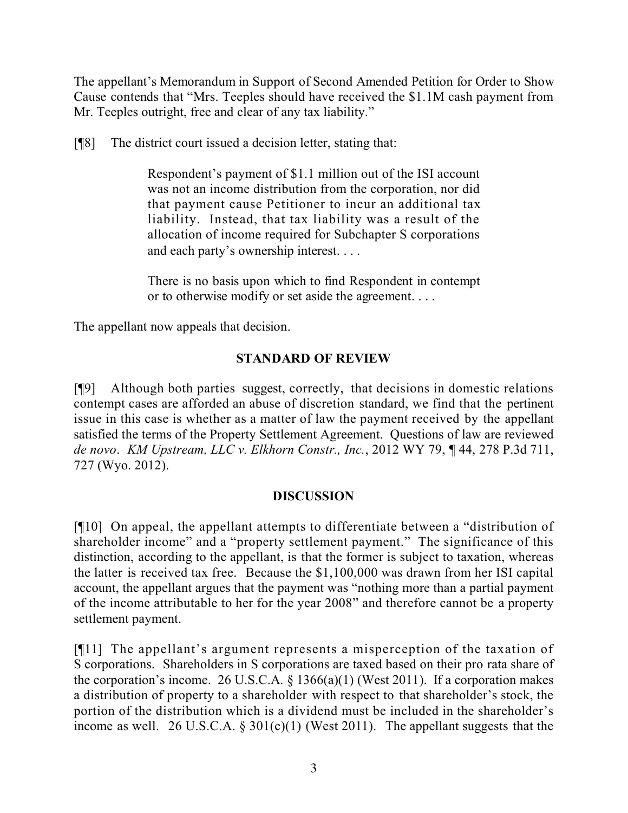The appellant's Memorandum in Support of Second Amended Petition for Order to Show Cause contends that "Mrs. Teeples should have received the \$1.1M cash payment from Mr. Teeples outright, free and clear of any tax liability."

[¶8] The district court issued a decision letter, stating that:

Respondent's payment of \$1.1 million out of the ISI account was not an income distribution from the corporation, nor did that payment cause Petitioner to incur an additional tax liability. Instead, that tax liability was a result of the allocation of income required for Subchapter S corporations and each party's ownership interest. . . .

There is no basis upon which to find Respondent in contempt or to otherwise modify or set aside the agreement. . . .

The appellant now appeals that decision.

# **STANDARD OF REVIEW**

[¶9] Although both parties suggest, correctly, that decisions in domestic relations contempt cases are afforded an abuse of discretion standard, we find that the pertinent issue in this case is whether as a matter of law the payment received by the appellant satisfied the terms of the Property Settlement Agreement. Questions of law are reviewed *de novo*. *KM Upstream, LLC v. Elkhorn Constr., Inc.*, 2012 WY 79, ¶ 44, 278 P.3d 711, 727 (Wyo. 2012).

# **DISCUSSION**

[¶10] On appeal, the appellant attempts to differentiate between a "distribution of shareholder income" and a "property settlement payment." The significance of this distinction, according to the appellant, is that the former is subject to taxation, whereas the latter is received tax free. Because the \$1,100,000 was drawn from her ISI capital account, the appellant argues that the payment was "nothing more than a partial payment of the income attributable to her for the year 2008" and therefore cannot be a property settlement payment.

[¶11] The appellant's argument represents a misperception of the taxation of S corporations. Shareholders in S corporations are taxed based on their pro rata share of the corporation's income. 26 U.S.C.A.  $\S$  1366(a)(1) (West 2011). If a corporation makes a distribution of property to a shareholder with respect to that shareholder's stock, the portion of the distribution which is a dividend must be included in the shareholder's income as well. 26 U.S.C.A. § 301(c)(1) (West 2011). The appellant suggests that the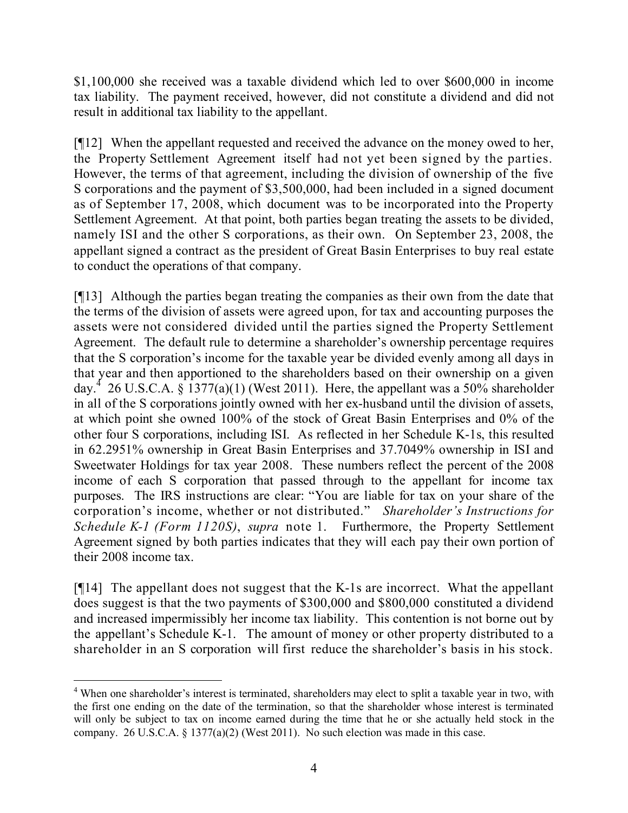\$1,100,000 she received was a taxable dividend which led to over \$600,000 in income tax liability. The payment received, however, did not constitute a dividend and did not result in additional tax liability to the appellant.

[¶12] When the appellant requested and received the advance on the money owed to her, the Property Settlement Agreement itself had not yet been signed by the parties. However, the terms of that agreement, including the division of ownership of the five S corporations and the payment of \$3,500,000, had been included in a signed document as of September 17, 2008, which document was to be incorporated into the Property Settlement Agreement. At that point, both parties began treating the assets to be divided, namely ISI and the other S corporations, as their own. On September 23, 2008, the appellant signed a contract as the president of Great Basin Enterprises to buy real estate to conduct the operations of that company.

[¶13] Although the parties began treating the companies as their own from the date that the terms of the division of assets were agreed upon, for tax and accounting purposes the assets were not considered divided until the parties signed the Property Settlement Agreement. The default rule to determine a shareholder's ownership percentage requires that the S corporation's income for the taxable year be divided evenly among all days in that year and then apportioned to the shareholders based on their ownership on a given day.<sup>4</sup> 26 U.S.C.A.  $\hat{\S}$  1377(a)(1) (West 2011). Here, the appellant was a 50% shareholder in all of the S corporations jointly owned with her ex-husband until the division of assets, at which point she owned 100% of the stock of Great Basin Enterprises and 0% of the other four S corporations, including ISI. As reflected in her Schedule K-1s, this resulted in 62.2951% ownership in Great Basin Enterprises and 37.7049% ownership in ISI and Sweetwater Holdings for tax year 2008. These numbers reflect the percent of the 2008 income of each S corporation that passed through to the appellant for income tax purposes. The IRS instructions are clear: "You are liable for tax on your share of the corporation's income, whether or not distributed." *Shareholder's Instructions for Schedule K-1 (Form 1120S)*, *supra* note 1. Furthermore, the Property Settlement Agreement signed by both parties indicates that they will each pay their own portion of their 2008 income tax.

[¶14] The appellant does not suggest that the K-1s are incorrect. What the appellant does suggest is that the two payments of \$300,000 and \$800,000 constituted a dividend and increased impermissibly her income tax liability. This contention is not borne out by the appellant's Schedule K-1. The amount of money or other property distributed to a shareholder in an S corporation will first reduce the shareholder's basis in his stock.

 $\overline{a}$ <sup>4</sup> When one shareholder's interest is terminated, shareholders may elect to split a taxable year in two, with the first one ending on the date of the termination, so that the shareholder whose interest is terminated will only be subject to tax on income earned during the time that he or she actually held stock in the company. 26 U.S.C.A. § 1377(a)(2) (West 2011). No such election was made in this case.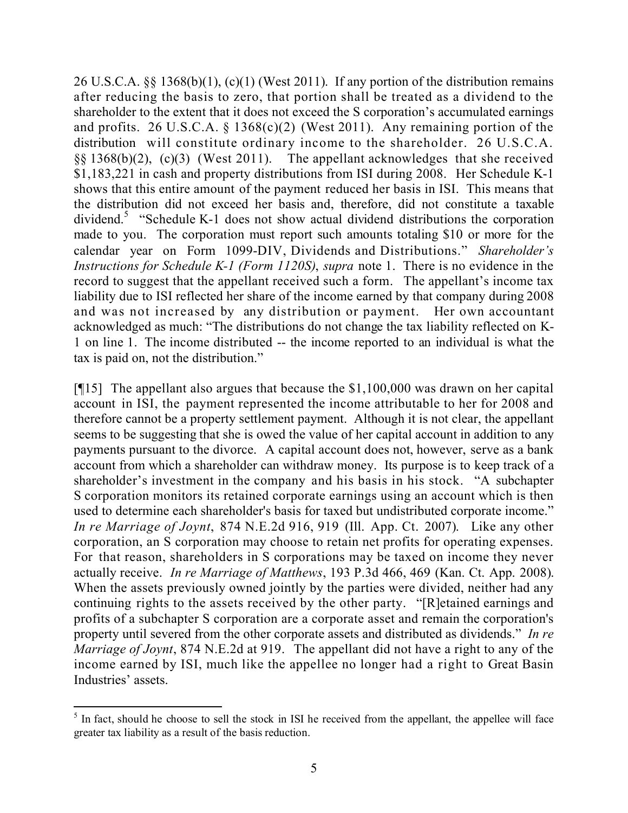26 U.S.C.A. §§ 1368(b)(1), (c)(1) (West 2011). If any portion of the distribution remains after reducing the basis to zero, that portion shall be treated as a dividend to the shareholder to the extent that it does not exceed the S corporation's accumulated earnings and profits. 26 U.S.C.A.  $\S$  1368(c)(2) (West 2011). Any remaining portion of the distribution will constitute ordinary income to the shareholder. 26 U.S.C.A. §§ 1368(b)(2), (c)(3) (West 2011). The appellant acknowledges that she received \$1,183,221 in cash and property distributions from ISI during 2008. Her Schedule K-1 shows that this entire amount of the payment reduced her basis in ISI. This means that the distribution did not exceed her basis and, therefore, did not constitute a taxable dividend.<sup>5</sup> "Schedule K-1 does not show actual dividend distributions the corporation made to you. The corporation must report such amounts totaling \$10 or more for the calendar year on Form 1099-DIV, Dividends and Distributions." *Shareholder's Instructions for Schedule K-1 (Form 1120S)*, *supra* note 1. There is no evidence in the record to suggest that the appellant received such a form. The appellant's income tax liability due to ISI reflected her share of the income earned by that company during 2008 and was not increased by any distribution or payment. Her own accountant acknowledged as much: "The distributions do not change the tax liability reflected on K-1 on line 1. The income distributed -- the income reported to an individual is what the tax is paid on, not the distribution."

[¶15] The appellant also argues that because the \$1,100,000 was drawn on her capital account in ISI, the payment represented the income attributable to her for 2008 and therefore cannot be a property settlement payment. Although it is not clear, the appellant seems to be suggesting that she is owed the value of her capital account in addition to any payments pursuant to the divorce. A capital account does not, however, serve as a bank account from which a shareholder can withdraw money. Its purpose is to keep track of a shareholder's investment in the company and his basis in his stock. "A subchapter S corporation monitors its retained corporate earnings using an account which is then used to determine each shareholder's basis for taxed but undistributed corporate income." *In re Marriage of Joynt*, 874 N.E.2d 916, 919 (Ill. App. Ct. 2007). Like any other corporation, an S corporation may choose to retain net profits for operating expenses. For that reason, shareholders in S corporations may be taxed on income they never actually receive. *In re Marriage of Matthews*, 193 P.3d 466, 469 (Kan. Ct. App. 2008). When the assets previously owned jointly by the parties were divided, neither had any continuing rights to the assets received by the other party. "[R]etained earnings and profits of a subchapter S corporation are a corporate asset and remain the corporation's property until severed from the other corporate assets and distributed as dividends." *In re Marriage of Joynt*, 874 N.E.2d at 919. The appellant did not have a right to any of the income earned by ISI, much like the appellee no longer had a right to Great Basin Industries' assets.

l

 $<sup>5</sup>$  In fact, should he choose to sell the stock in ISI he received from the appellant, the appellee will face</sup> greater tax liability as a result of the basis reduction.